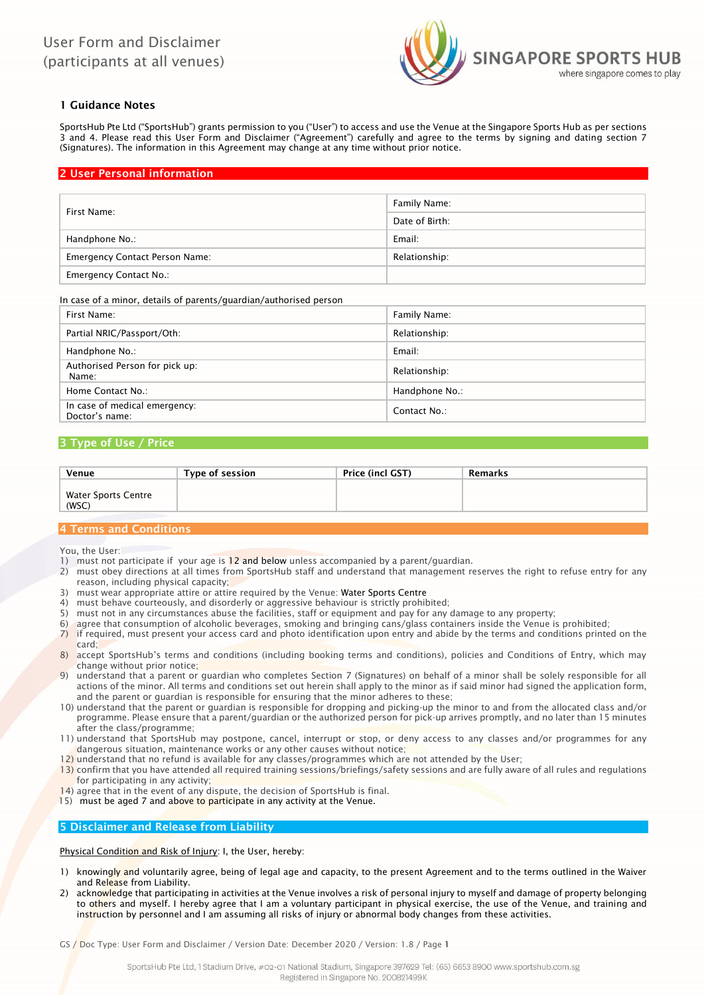

## 1 Guidance Notes

SportsHub Pte Ltd ("SportsHub") grants permission to you ("User") to access and use the Venue at the Singapore Sports Hub as per sections 3 and 4. Please read this User Form and Disclaimer ("Agreement") carefully and agree to the terms by signing and dating section 7 (Signatures). The information in this Agreement may change at any time without prior notice.

## 2 User Personal information

| First Name:                           | Family Name:   |
|---------------------------------------|----------------|
|                                       | Date of Birth: |
| Handphone No.:                        | Email:         |
| <b>Emergency Contact Person Name:</b> | Relationship:  |
| <b>Emergency Contact No.:</b>         |                |

### In case of a minor, details of parents/guardian/authorised person

| First Name:                                     | Family Name:   |
|-------------------------------------------------|----------------|
| Partial NRIC/Passport/Oth:                      | Relationship:  |
| Handphone No.:                                  | Email:         |
| Authorised Person for pick up:<br>Name:         | Relationship:  |
| Home Contact No.:                               | Handphone No.: |
| In case of medical emergency:<br>Doctor's name: | Contact No.:   |

### 3 Type of Use / Price

| Venue               | Type of session | Price (incl GST) | Remarks |
|---------------------|-----------------|------------------|---------|
|                     |                 |                  |         |
| Water Sports Centre |                 |                  |         |
| (WSC)               |                 |                  |         |

## 4 Terms and Conditions

You, the User:

- 1) must not participate if your age is 12 and below unless accompanied by a parent/guardian.
- 2) must obey directions at all times from SportsHub staff and understand that management reserves the right to refuse entry for any reason, including physical capacity;
- 3) must wear appropriate attire or attire required by the Venue: Water Sports Centre
- 4) must behave courteously, and disorderly or aggressive behaviour is strictly prohibited;
- 5) must not in any circumstances abuse the facilities, staff or equipment and pay for any damage to any property;
- 6) agree that consumption of alcoholic beverages, smoking and bringing cans/glass containers inside the Venue is prohibited;
- 7) if required, must present your access card and photo identification upon entry and abide by the terms and conditions printed on the card;
- 8) accept SportsHub's terms and conditions (including booking terms and conditions), policies and Conditions of Entry, which may change without prior notice;
- 9) understand that a parent or guardian who completes Section 7 (Signatures) on behalf of a minor shall be solely responsible for all actions of the minor. All terms and conditions set out herein shall apply to the minor as if said minor had signed the application form, and the parent or guardian is responsible for ensuring that the minor adheres to these;
- 10) understand that the parent or guardian is responsible for dropping and picking-up the minor to and from the allocated class and/or programme. Please ensure that a parent/guardian or the authorized person for pick-up arrives promptly, and no later than 15 minutes after the class/programme;
- 11) understand that SportsHub may postpone, cancel, interrupt or stop, or deny access to any classes and/or programmes for any dangerous situation, maintenance works or any other causes without notice;
- $12$ ) understand that no refund is available for any classes/programmes which are not attended by the User;
- 13) confirm that you have attended all required training sessions/briefings/safety sessions and are fully aware of all rules and regulations for participating in any activity;
- 14) agree that in the event of any dispute, the decision of SportsHub is final.
- 15) must be aged 7 and above to participate in any activity at the Venue.

### 5 Disclaimer and Release from Liability

Physical Condition and Risk of Injury: I, the User, hereby:

- knowingly and voluntarily agree, being of legal age and capacity, to the present Agreement and to the terms outlined in the Waiver and Release from Liability.
- 2) acknowledge that participating in activities at the Venue involves a risk of personal injury to myself and damage of property belonging to others and myself. I hereby agree that I am a voluntary participant in physical exercise, the use of the Venue, and training and instruction by personnel and I am assuming all risks of injury or abnormal body changes from these activities.

GS / Doc Type: User Form and Disclaimer / Version Date: December 2020 / Version: 1.8 / Page 1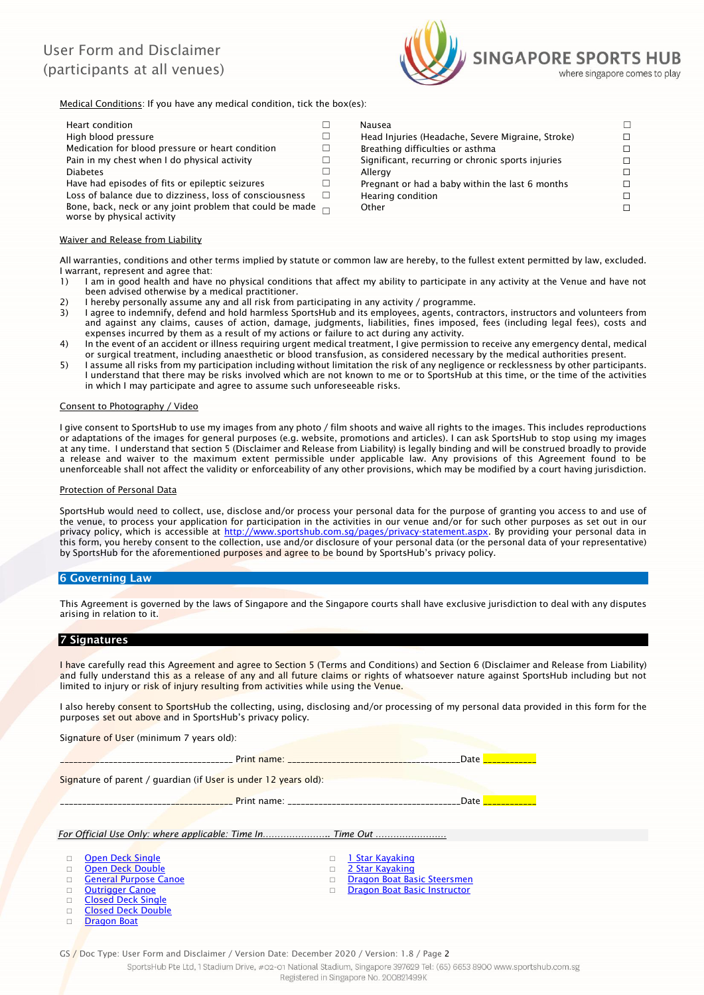# User Form and Disclaimer (participants at all venues)



Medical Conditions: If you have any medical condition, tick the box(es):

| Heart condition                                                                               |   | Nausea                                            |  |
|-----------------------------------------------------------------------------------------------|---|---------------------------------------------------|--|
| High blood pressure                                                                           |   | Head Injuries (Headache, Severe Migraine, Stroke) |  |
| Medication for blood pressure or heart condition                                              |   | Breathing difficulties or asthma                  |  |
| Pain in my chest when I do physical activity                                                  |   | Significant, recurring or chronic sports injuries |  |
| <b>Diabetes</b>                                                                               |   | Allergy                                           |  |
| Have had episodes of fits or epileptic seizures                                               |   | Pregnant or had a baby within the last 6 months   |  |
| Loss of balance due to dizziness, loss of consciousness                                       | П | Hearing condition                                 |  |
| Bone, back, neck or any joint problem that could be made $\Box$<br>worse by physical activity |   | Other                                             |  |
|                                                                                               |   |                                                   |  |

## Waiver and Release from Liability

All warranties, conditions and other terms implied by statute or common law are hereby, to the fullest extent permitted by law, excluded. I warrant, represent and agree that:

- 1) I am in good health and have no physical conditions that affect my ability to participate in any activity at the Venue and have not been advised otherwise by a medical practitioner.
- 2) I hereby personally assume any and all risk from participating in any activity / programme.
- 3) I agree to indemnify, defend and hold harmless SportsHub and its employees, agents, contractors, instructors and volunteers from and against any claims, causes of action, damage, judgments, liabilities, fines imposed, fees (including legal fees), costs and expenses incurred by them as a result of my actions or failure to act during any activity.
- 4) In the event of an accident or illness requiring urgent medical treatment, I give permission to receive any emergency dental, medical or surgical treatment, including anaesthetic or blood transfusion, as considered necessary by the medical authorities present.
- 5) I assume all risks from my participation including without limitation the risk of any negligence or recklessness by other participants. I understand that there may be risks involved which are not known to me or to SportsHub at this time, or the time of the activities in which I may participate and agree to assume such unforeseeable risks.

### Consent to Photography / Video

I give consent to SportsHub to use my images from any photo / film shoots and waive all rights to the images. This includes reproductions or adaptations of the images for general purposes (e.g. website, promotions and articles). I can ask SportsHub to stop using my images at any time. I understand that section 5 (Disclaimer and Release from Liability) is legally binding and will be construed broadly to provide a release and waiver to the maximum extent permissible under applicable law. Any provisions of this Agreement found to be unenforceable shall not affect the validity or enforceability of any other provisions, which may be modified by a court having jurisdiction.

#### Protection of Personal Data

SportsHub would need to collect, use, disclose and/or process your personal data for the purpose of granting you access to and use of the venue, to process your application for participation in the activities in our venue and/or for such other purposes as set out in our privacy policy, which is accessible at [http://www.sportshub.com.sg/pages/privacy-statement.aspx.](http://www.sportshub.com.sg/pages/privacy-statement.aspx) By providing your personal data in this form, you hereby consent to the collection, use and/or disclosure of your personal data (or the personal data of your representative) by SportsHub for the aforementioned purposes and agree to be bound by SportsHub's privacy policy.

### 6 Governing Law

This Agreement is governed by the laws of Singapore and the Singapore courts shall have exclusive jurisdiction to deal with any disputes arising in relation to it.

### 7 Signatures

I have carefully read this Agreement and agree to Section 5 (Terms and Conditions) and Section 6 (Disclaimer and Release from Liability) and fully understand this as a release of any and all future claims or rights of whatsoever nature against SportsHub including but not limited to injury or risk of injury resulting from activities while using the Venue.

I also hereby consent to SportsHub the collecting, using, disclosing and/or processing of my personal data provided in this form for the purposes set out above and in SportsHub's privacy policy.

Signature of User (minimum 7 years old):

external print name: which is a set of the set of the set of the set of the set of the set of the set of the s

Signature of parent / guardian (if User is under 12 years old):

\_\_\_\_\_\_\_\_\_\_\_\_\_\_\_\_\_\_\_\_\_\_\_\_\_\_\_\_\_\_\_\_\_\_\_\_\_\_\_ Print name: \_\_\_\_\_\_\_\_\_\_\_\_\_\_\_\_\_\_\_\_\_\_\_\_\_\_\_\_\_\_\_\_\_\_\_\_\_\_\_Date \_\_\_\_\_\_\_\_\_\_\_\_

*For Official Use Only: where applicable: Time In………………….. Time Out ……………………*

Open Deck Single 1 Star Kayaking

- Open Deck Double (2 Star Kayaking ) and Deck Double (2 Star Kayaking ) and 2 Star Kayaking (2 Star Kayaking ) and C General Purpose Canoe Dragon Boat Basic Steersmen
- □ Outrigger Canoe 2008 2009 2009 2009 2009 Dragon Boat Basic Instructor
- □ Closed Deck Single
- Closed Deck Double
- Dragon Boat

GS / Doc Type: User Form and Disclaimer / Version Date: December 2020 / Version: 1.8 / Page 2

SportsHub Pte Ltd. 1 Stadium Drive, #02-01 National Stadium, Singapore 397629 Tel: (65) 6653 8900 www.sportshub.com.sg

Registered in Singapore No. 200821499K